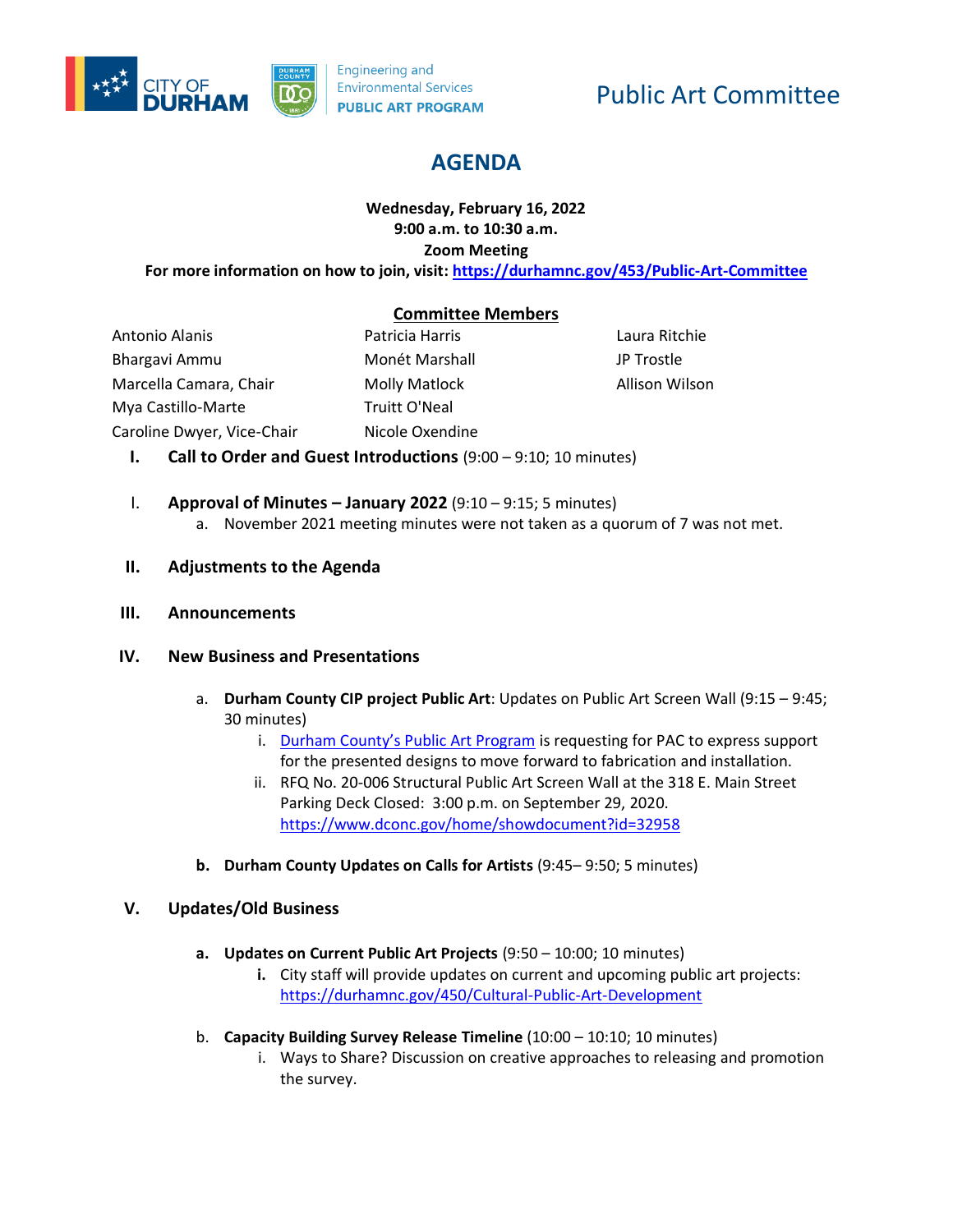

# Public Art Committee

# **AGENDA**

## **Wednesday, February 16, 2022 9:00 a.m. to 10:30 a.m. Zoom Meeting**

**For more information on how to join, visit[: https://durhamnc.gov/453/Public-Art-Committee](https://durhamnc.gov/453/Public-Art-Committee)**

# **Committee Members**

Antonio Alanis Bhargavi Ammu Marcella Camara, Chair Mya Castillo-Marte Caroline Dwyer, Vice-Chair

Patricia Harris Monét Marshall Molly Matlock Truitt O'Neal Nicole Oxendine Laura Ritchie JP Trostle Allison Wilson

- **I. Call to Order and Guest Introductions** (9:00 9:10; 10 minutes)
- I. **Approval of Minutes – January 2022** (9:10 9:15; 5 minutes) a. November 2021 meeting minutes were not taken as a quorum of 7 was not met.
- **II. Adjustments to the Agenda**
- **III. Announcements**

#### **IV. New Business and Presentations**

- a. **Durham County CIP project Public Art**: Updates on Public Art Screen Wall (9:15 9:45; 30 minutes)
	- i. [Durham County's Public Art Program](https://www.dconc.gov/county-departments/departments-a-e/engineering-and-environmental-services/durham-county-public-art-program) is requesting for PAC to express support for the presented designs to move forward to fabrication and installation.
	- ii. RFQ No. 20-006 Structural Public Art Screen Wall at the 318 E. Main Street Parking Deck Closed: 3:00 p.m. on September 29, 2020. <https://www.dconc.gov/home/showdocument?id=32958>
- **b. Durham County Updates on Calls for Artists** (9:45– 9:50; 5 minutes)

#### **V. Updates/Old Business**

- **a. Updates on Current Public Art Projects** (9:50 10:00; 10 minutes)
	- **i.** City staff will provide updates on current and upcoming public art projects: <https://durhamnc.gov/450/Cultural-Public-Art-Development>
- b. **Capacity Building Survey Release Timeline** (10:00 10:10; 10 minutes)
	- i. Ways to Share? Discussion on creative approaches to releasing and promotion the survey.